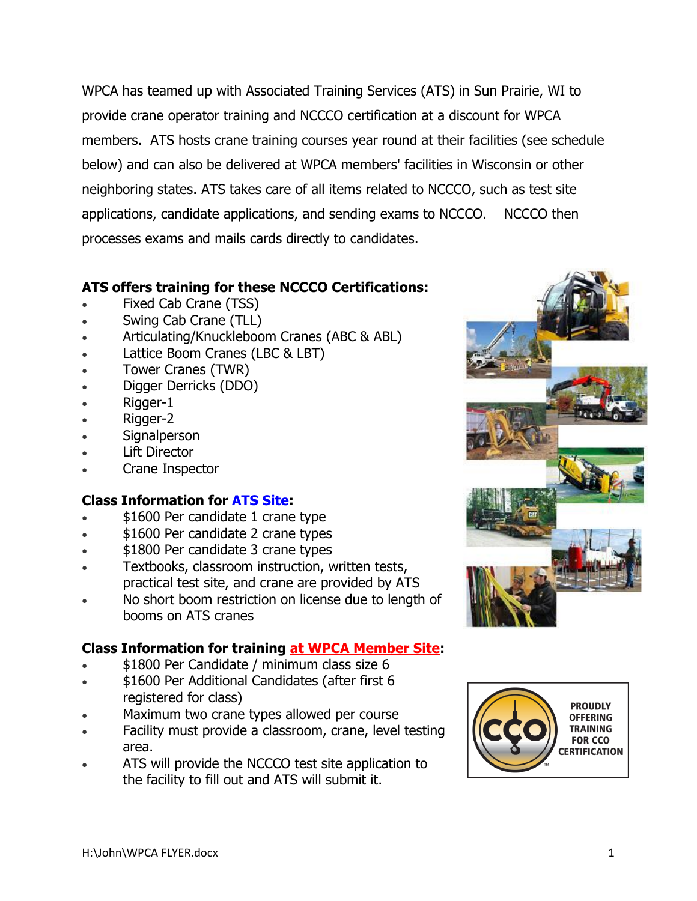WPCA has teamed up with Associated Training Services (ATS) in Sun Prairie, WI to provide crane operator training and NCCCO certification at a discount for WPCA members. ATS hosts crane training courses year round at their facilities (see schedule below) and can also be delivered at WPCA members' facilities in Wisconsin or other neighboring states. ATS takes care of all items related to NCCCO, such as test site applications, candidate applications, and sending exams to NCCCO. NCCCO then processes exams and mails cards directly to candidates.

## **ATS offers training for these NCCCO Certifications:**

- Fixed Cab Crane (TSS)
- Swing Cab Crane (TLL)
- Articulating/Knuckleboom Cranes (ABC & ABL)
- Lattice Boom Cranes (LBC & LBT)
- Tower Cranes (TWR)
- Digger Derricks (DDO)
- Rigger-1
- Rigger-2
- Signalperson
- Lift Director
- Crane Inspector

## **Class Information for ATS Site:**

- \$1600 Per candidate 1 crane type
- \$1600 Per candidate 2 crane types
- \$1800 Per candidate 3 crane types
- Textbooks, classroom instruction, written tests, practical test site, and crane are provided by ATS
- No short boom restriction on license due to length of booms on ATS cranes

## **Class Information for training at WPCA Member Site:**

- \$1800 Per Candidate / minimum class size 6
- \$1600 Per Additional Candidates (after first 6 registered for class)
- Maximum two crane types allowed per course
- Facility must provide a classroom, crane, level testing area.
- ATS will provide the NCCCO test site application to the facility to fill out and ATS will submit it.



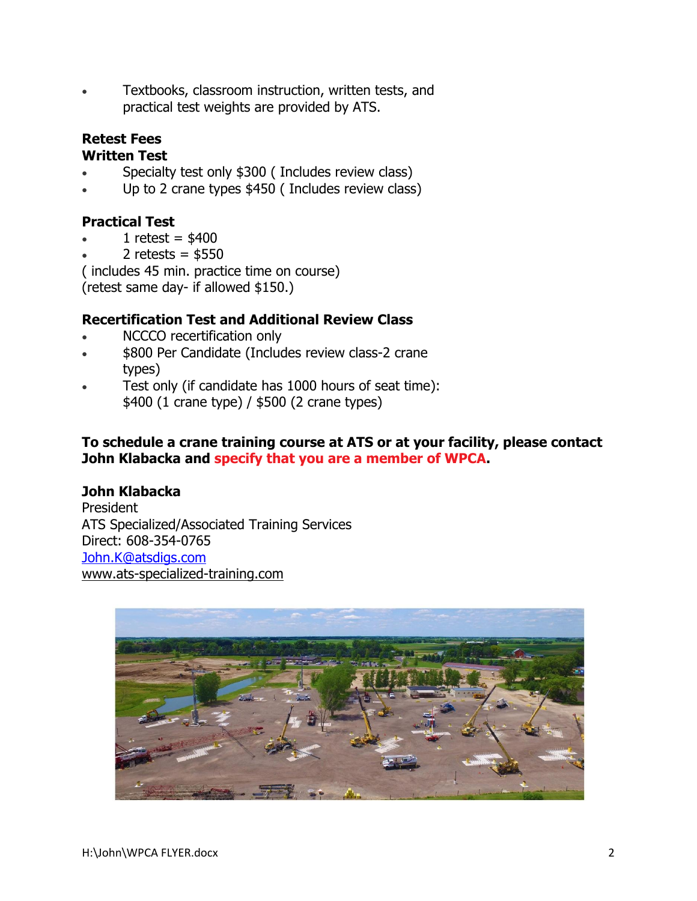Textbooks, classroom instruction, written tests, and practical test weights are provided by ATS.

# **Retest Fees**

#### **Written Test**

- Specialty test only \$300 ( Includes review class)
- Up to 2 crane types \$450 ( Includes review class)

# **Practical Test**

- 1 retest =  $$400$
- 2 retests =  $$550$

( includes 45 min. practice time on course)

(retest same day- if allowed \$150.)

#### **Recertification Test and Additional Review Class**

- NCCCO recertification only
- \$800 Per Candidate (Includes review class-2 crane types)
- Test only (if candidate has 1000 hours of seat time): \$400 (1 crane type) / \$500 (2 crane types)

#### **To schedule a crane training course at ATS or at your facility, please contact John Klabacka and specify that you are a member of WPCA.**

#### **John Klabacka**

President ATS Specialized/Associated Training Services Direct: 608-354-0765 [John.K@atsdigs.com](mailto:John.K@atsdigs.com) [www.ats-specialized-training.com](http://www.ats-specialized-training.com/)